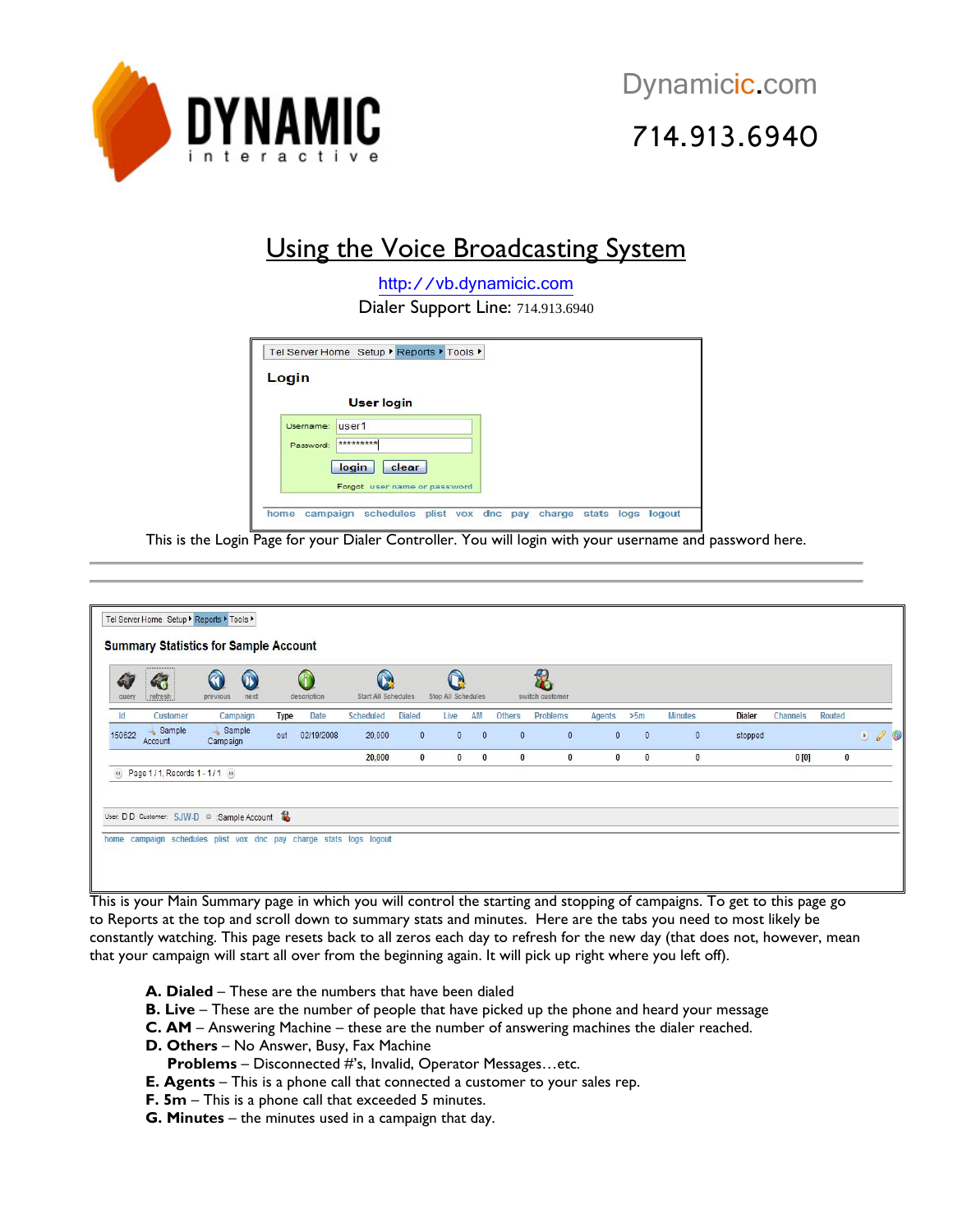

# 714.913.6940

## Using the Voice Broadcasting System

[http://vb.dynamicic.com](http://vb.dynamicic.com/) Dialer Support Line: 714.913.6940

| Login |                         |                              |  |  |
|-------|-------------------------|------------------------------|--|--|
|       | <b>User login</b>       |                              |  |  |
|       | user1<br>Username:      |                              |  |  |
|       | **********<br>Password: |                              |  |  |
|       | login                   | clear                        |  |  |
|       |                         | Forgot user name or password |  |  |

This is the Login Page for your Dialer Controller. You will login with your username and password here.

| G<br>query | $\clubsuit$<br>refresh          | $\odot$<br>$\bf \Omega$<br>previous<br>next |             | G<br>description | $\Omega$<br>Start All Schedules |               | Stop All Schedules   |          |               | f<br>switch customer |               |          |                |               |          |               |                     |
|------------|---------------------------------|---------------------------------------------|-------------|------------------|---------------------------------|---------------|----------------------|----------|---------------|----------------------|---------------|----------|----------------|---------------|----------|---------------|---------------------|
| Id         | Customer                        | Campaign                                    | <b>Type</b> | Date             | Scheduled                       | <b>Dialed</b> | Live                 | AM       | <b>Others</b> | Problems             | <b>Agents</b> | >5m      | <b>Minutes</b> | <b>Dialer</b> | Channels | <b>Routed</b> |                     |
| 150622     | Sample<br>Account               | Sample<br>Campaign                          | out         | 02/19/2008       | 20,000                          |               | $\theta$<br>$\theta$ | $\theta$ | $\mathbf{0}$  | $\mathbf{0}$         | $\theta$      | $\theta$ | $\theta$       | stopped       |          |               | $\bullet$ $\bullet$ |
|            |                                 |                                             |             |                  | 20,000                          |               | $\bf{0}$             | $0 \t 0$ | $\bf{0}$      | $\bf{0}$             | $\bf{0}$      | $\bf{0}$ | $\bf{0}$       |               | 0[0]     |               |                     |
|            | (4) Page 1/1, Records 1-1/1 (9) |                                             |             |                  |                                 |               |                      |          |               |                      |               |          |                |               |          |               | $\bf{0}$            |

This is your Main Summary page in which you will control the starting and stopping of campaigns. To get to this page go to Reports at the top and scroll down to summary stats and minutes. Here are the tabs you need to most likely be constantly watching. This page resets back to all zeros each day to refresh for the new day (that does not, however, mean that your campaign will start all over from the beginning again. It will pick up right where you left off).

- **A. Dialed**  These are the numbers that have been dialed
- **B. Live** These are the number of people that have picked up the phone and heard your message
- **C. AM** Answering Machine these are the number of answering machines the dialer reached.
- **D. Others** No Answer, Busy, Fax Machine
- **Problems** Disconnected #'s, Invalid, Operator Messages…etc.
- **E. Agents** This is a phone call that connected a customer to your sales rep.
- **F. 5m** This is a phone call that exceeded 5 minutes.
- **G. Minutes** the minutes used in a campaign that day.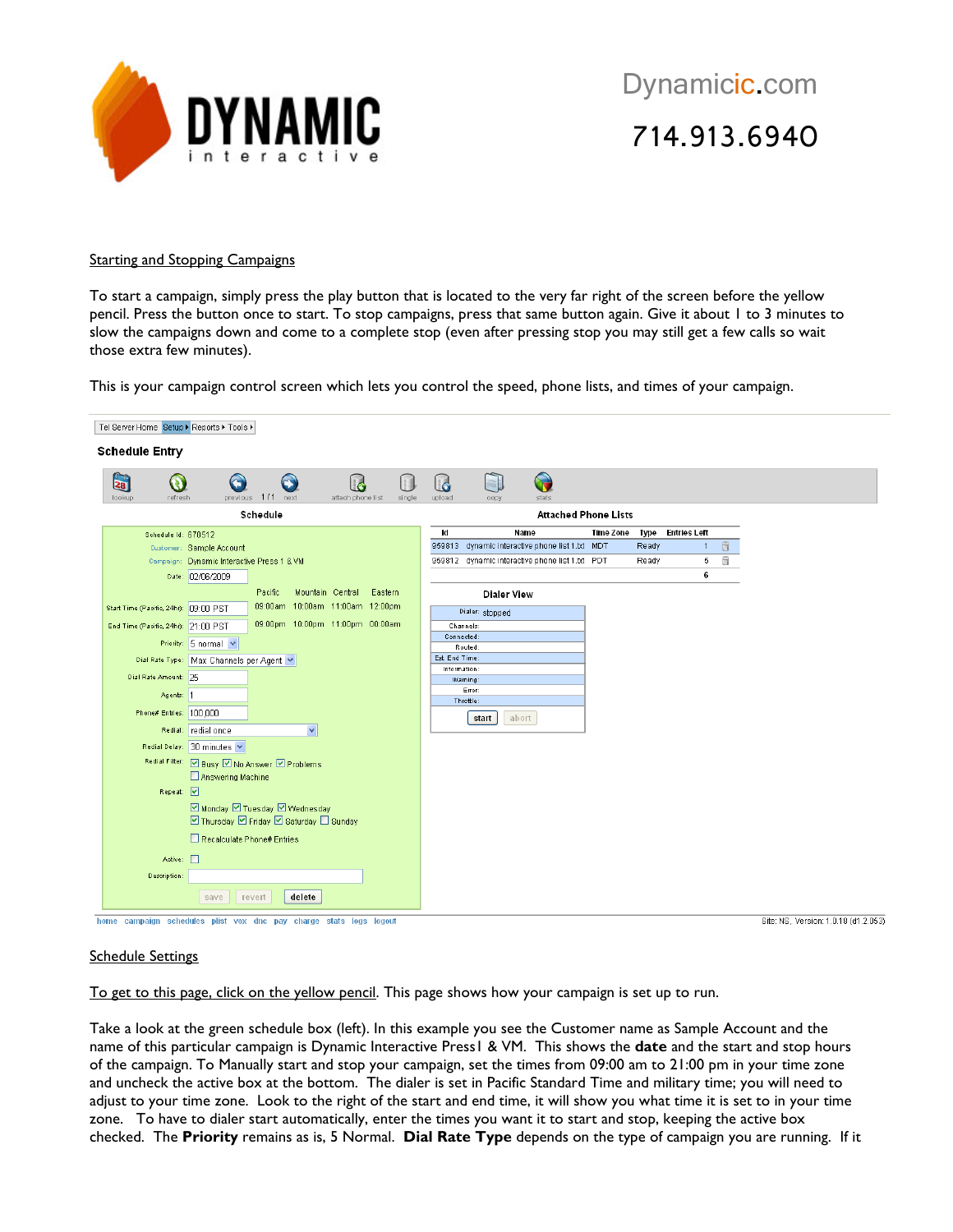

Dynamicic.com 714.913.6940

#### **Starting and Stopping Campaigns**

To start a campaign, simply press the play button that is located to the very far right of the screen before the yellow pencil. Press the button once to start. To stop campaigns, press that same button again. Give it about 1 to 3 minutes to slow the campaigns down and come to a complete stop (even after pressing stop you may still get a few calls so wait those extra few minutes).

This is your campaign control screen which lets you control the speed, phone lists, and times of your campaign.

| Tel Server Home Setup ▶ Reports ▶ Tools ▶        |                                                                                            |                |                                                 |                  |       |                     |   |
|--------------------------------------------------|--------------------------------------------------------------------------------------------|----------------|-------------------------------------------------|------------------|-------|---------------------|---|
| <b>Schedule Entry</b>                            |                                                                                            |                |                                                 |                  |       |                     |   |
| $\mathbf{z}_8$<br>$\bullet$<br>lookup<br>refresh | $\bigodot$<br>G<br>$\mathbf{H}$<br>l d<br>previous 1/1 next<br>attach phone list<br>single | 6<br>upload    | $\odot$<br>stats<br>copy                        |                  |       |                     |   |
|                                                  | Schedule                                                                                   |                | <b>Attached Phone Lists</b>                     |                  |       |                     |   |
| Schedule Id: 670512                              |                                                                                            | <b>c</b>       | Name                                            | <b>Time Zone</b> | Type  | <b>Entries Left</b> |   |
|                                                  | Customer: Sample Account                                                                   |                | 959813 dynamic interactive phone list 1.bt MDT  |                  | Ready | $\mathbf{1}$        | ü |
|                                                  | Campaign: Dynamic Interactive Press 1 & VM                                                 |                | 959812 dynamic interactive phone list 1.txt PDT |                  | Ready | 5                   | ü |
|                                                  | Date: 02/06/2009                                                                           |                |                                                 |                  |       | 6                   |   |
|                                                  | Mountain Central<br>Pacific<br>Eastern                                                     |                | <b>Dialer View</b>                              |                  |       |                     |   |
| Start Time (Pacific, 24hr): 09:00 PST            | 09:00am 10:00am 11:00am 12:00pm                                                            |                | Dialer: stopped                                 |                  |       |                     |   |
| End Time (Pacific, 24hr): 21:00 PST              | 09:00pm 10:00pm 11:00pm 00:00am                                                            |                | Channels:                                       |                  |       |                     |   |
|                                                  | Priority: $5$ normal $\vee$                                                                | Connected:     |                                                 |                  |       |                     |   |
|                                                  | Dial Rate Type:   Max Channels per Agent                                                   | Est. End Time: | Routed:                                         |                  |       |                     |   |
| Dial Rate Amount: 25                             |                                                                                            | Information:   |                                                 |                  |       |                     |   |
|                                                  |                                                                                            |                | Warning:<br>Error:                              |                  |       |                     |   |
| Agents:  1                                       |                                                                                            |                | Throttle:                                       |                  |       |                     |   |
| Phone# Entries: 100.000                          |                                                                                            |                | abort<br>start                                  |                  |       |                     |   |
|                                                  | $\checkmark$<br>Redial: redial once                                                        |                |                                                 |                  |       |                     |   |
|                                                  | Redial Delay: 30 minutes                                                                   |                |                                                 |                  |       |                     |   |
|                                                  | Redial Filter: 2 Busy 2 No Answer 2 Problems                                               |                |                                                 |                  |       |                     |   |
|                                                  | Answering Machine                                                                          |                |                                                 |                  |       |                     |   |
| Repeat: V                                        |                                                                                            |                |                                                 |                  |       |                     |   |
|                                                  | ☑ Monday ☑ Tuesday ☑ Wednesday                                                             |                |                                                 |                  |       |                     |   |
|                                                  | ☑ Thursday ☑ Friday ☑ Saturday □ Sunday                                                    |                |                                                 |                  |       |                     |   |
|                                                  | Recalculate Phone# Entries                                                                 |                |                                                 |                  |       |                     |   |
| Active: $\Box$                                   |                                                                                            |                |                                                 |                  |       |                     |   |
| Description:                                     |                                                                                            |                |                                                 |                  |       |                     |   |
|                                                  |                                                                                            |                |                                                 |                  |       |                     |   |
|                                                  | delete<br>save<br>revert                                                                   |                |                                                 |                  |       |                     |   |

home campaign schedules plist vox dnc pay charge stats logs logout

Site: NS, Version: 1.0.18 (d1.2.053)

#### Schedule Settings

To get to this page, click on the yellow pencil. This page shows how your campaign is set up to run.

Take a look at the green schedule box (left). In this example you see the Customer name as Sample Account and the name of this particular campaign is Dynamic Interactive Press1 & VM. This shows the **date** and the start and stop hours of the campaign. To Manually start and stop your campaign, set the times from 09:00 am to 21:00 pm in your time zone and uncheck the active box at the bottom. The dialer is set in Pacific Standard Time and military time; you will need to adjust to your time zone. Look to the right of the start and end time, it will show you what time it is set to in your time zone. To have to dialer start automatically, enter the times you want it to start and stop, keeping the active box checked. The **Priority** remains as is, 5 Normal. **Dial Rate Type** depends on the type of campaign you are running. If it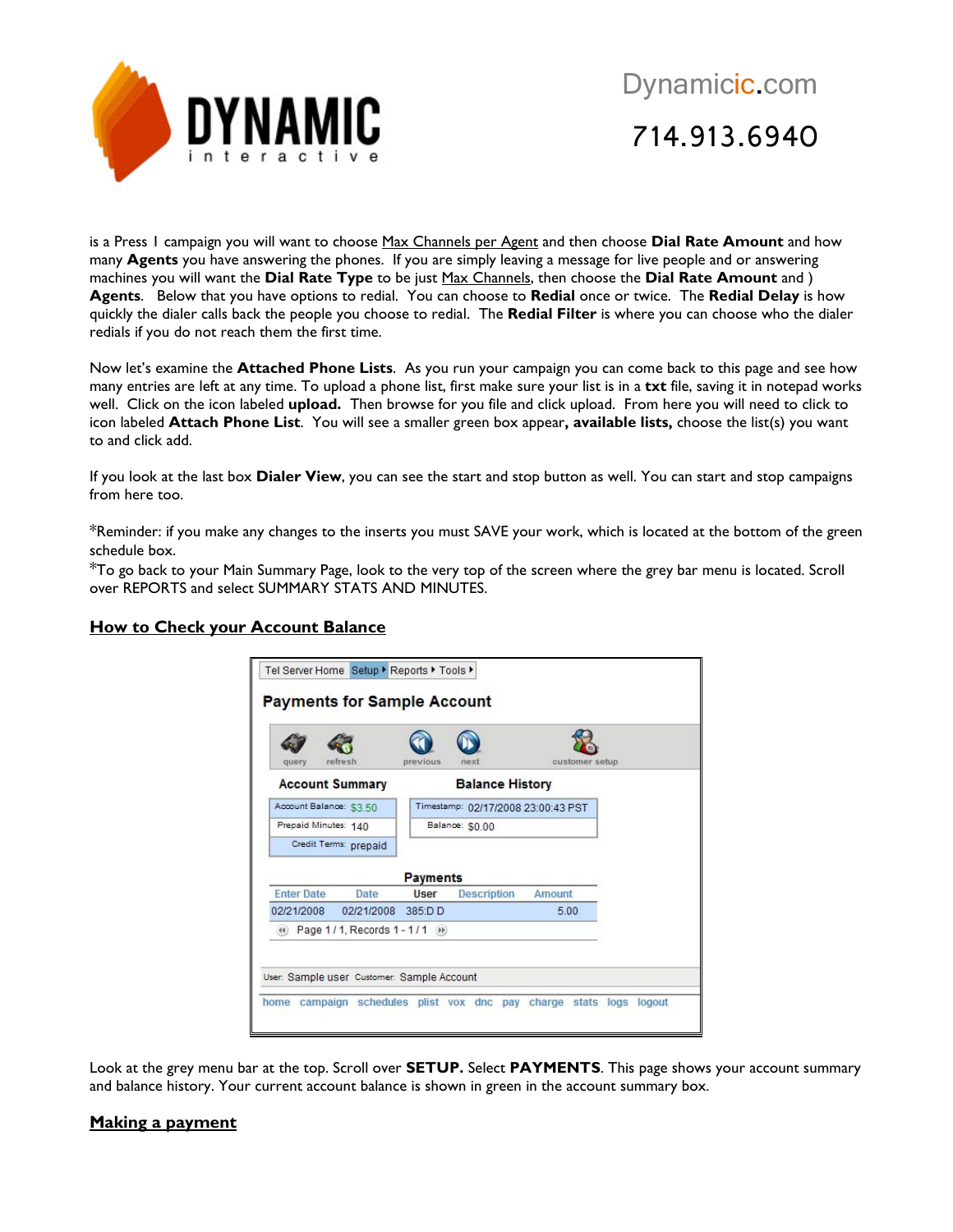

is a Press 1 campaign you will want to choose Max Channels per Agent and then choose **Dial Rate Amount** and how many **Agents** you have answering the phones. If you are simply leaving a message for live people and or answering machines you will want the **Dial Rate Type** to be just Max Channels, then choose the **Dial Rate Amount** and ) **Agents**. Below that you have options to redial. You can choose to **Redial** once or twice. The **Redial Delay** is how quickly the dialer calls back the people you choose to redial. The **Redial Filter** is where you can choose who the dialer redials if you do not reach them the first time.

Now let's examine the **Attached Phone Lists**. As you run your campaign you can come back to this page and see how many entries are left at any time. To upload a phone list, first make sure your list is in a **txt** file, saving it in notepad works well. Click on the icon labeled **upload.** Then browse for you file and click upload. From here you will need to click to icon labeled **Attach Phone List**. You will see a smaller green box appear**, available lists,** choose the list(s) you want to and click add.

If you look at the last box **Dialer View**, you can see the start and stop button as well. You can start and stop campaigns from here too.

\*Reminder: if you make any changes to the inserts you must SAVE your work, which is located at the bottom of the green schedule box.

\*To go back to your Main Summary Page, look to the very top of the screen where the grey bar menu is located. Scroll over REPORTS and select SUMMARY STATS AND MINUTES.

### **How to Check your Account Balance**

| query             | refresh                           | previous        | next                               | customer setup |  |
|-------------------|-----------------------------------|-----------------|------------------------------------|----------------|--|
|                   | <b>Account Summary</b>            |                 | <b>Balance History</b>             |                |  |
|                   | Account Balance: \$3.50           |                 | Timestamp: 02/17/2008 23:00:43 PST |                |  |
|                   | Prepaid Minutes: 140              |                 | Balance: \$0.00                    |                |  |
|                   | Credit Terms: prepaid             |                 |                                    |                |  |
|                   |                                   | <b>Payments</b> |                                    |                |  |
| <b>Enter Date</b> | Date                              | User            | Description                        | Amount         |  |
| 02/21/2008        | 02/21/2008 385:DD                 |                 |                                    | 5.00           |  |
|                   | (4) Page 1/1, Records 1 - 1/1 (9) |                 |                                    |                |  |

Look at the grey menu bar at the top. Scroll over **SETUP.** Select **PAYMENTS**. This page shows your account summary and balance history. Your current account balance is shown in green in the account summary box.

#### **Making a payment**